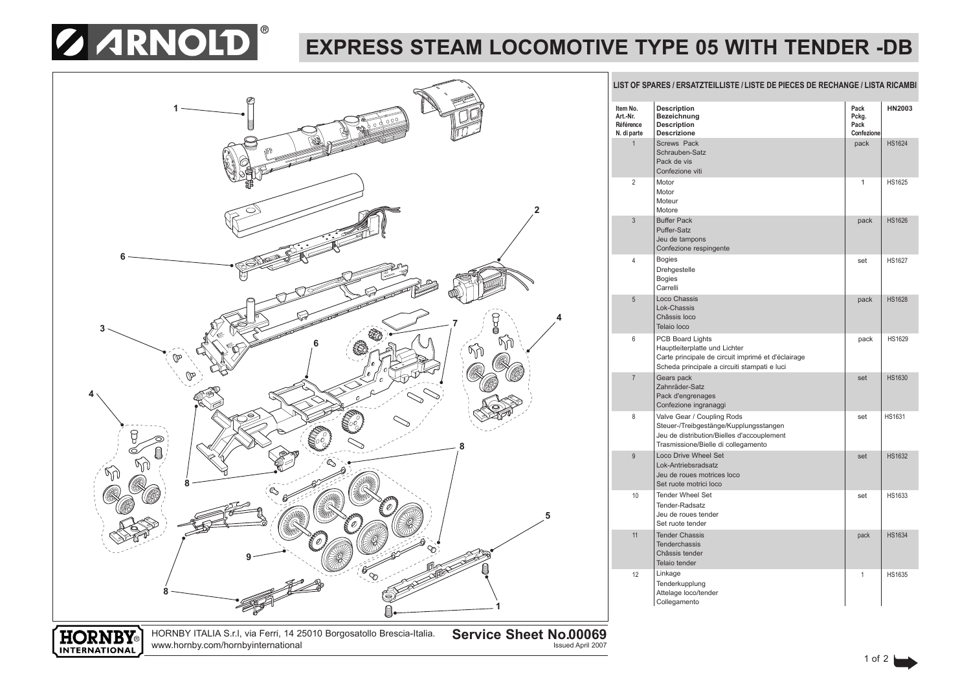# **Z ARNOLD**

## **EXPRESS STEAM LOCOMOTIVE TYPE 05 WITH TENDER -DB**



**LIST OF SPARES / ERSATZTEILLISTE / LISTE DE PIECES DE RECHANGE / LISTA RICAMBI**

| Item No.<br>Art.-Nr.<br>Référence<br>N. di parte | <b>Description</b><br>Bezeichnung<br><b>Description</b><br><b>Descrizione</b>                                                                             | Pack<br>Pckg.<br>Pack<br>Confezione | <b>HN2003</b> |
|--------------------------------------------------|-----------------------------------------------------------------------------------------------------------------------------------------------------------|-------------------------------------|---------------|
| $\mathbf{1}$                                     | <b>Screws Pack</b><br>Schrauben-Satz<br>Pack de vis<br>Confezione viti                                                                                    | pack                                | <b>HS1624</b> |
| 2                                                | Motor<br>Motor<br>Moteur<br>Motore                                                                                                                        | 1                                   | <b>HS1625</b> |
| 3                                                | <b>Buffer Pack</b><br>Puffer-Satz<br>Jeu de tampons<br>Confezione respingente                                                                             | pack                                | <b>HS1626</b> |
| 4                                                | <b>Bogies</b><br>Drehgestelle<br><b>Bogies</b><br>Carrelli                                                                                                | set                                 | <b>HS1627</b> |
| 5                                                | Loco Chassis<br>Lok-Chassis<br>Châssis loco<br>Telaio loco                                                                                                | pack                                | <b>HS1628</b> |
| 6                                                | PCB Board Lights<br>Hauptleiterplatte und Lichter<br>Carte principale de circuit imprimé et d'éclairage<br>Scheda principale a circuiti stampati e luci   | pack                                | <b>HS1629</b> |
| $\overline{7}$                                   | Gears pack<br>Zahnräder-Satz<br>Pack d'engrenages<br>Confezione ingranaggi                                                                                | set                                 | <b>HS1630</b> |
| 8                                                | Valve Gear / Coupling Rods<br>Steuer-/Treibgestänge/Kupplungsstangen<br>Jeu de distribution/Bielles d'accouplement<br>Trasmissione/Bielle di collegamento | set                                 | <b>HS1631</b> |
| 9                                                | <b>Loco Drive Wheel Set</b><br>Lok-Antriebsradsatz<br>Jeu de roues motrices loco<br>Set ruote motrici loco                                                | set                                 | <b>HS1632</b> |
| 10                                               | <b>Tender Wheel Set</b><br>Tender-Radsatz<br>Jeu de roues tender<br>Set ruote tender                                                                      | set                                 | HS1633        |
| 11                                               | <b>Tender Chassis</b><br><b>Tenderchassis</b><br>Châssis tender<br>Telaio tender                                                                          | pack                                | <b>HS1634</b> |
| 12                                               | Linkage<br>Tenderkupplung<br>Attelage loco/tender<br>Collegamento                                                                                         | 1                                   | <b>HS1635</b> |



HORNBY ITALIA S.r.l, via Ferri, 14 25010 Borgosatollo Brescia-Italia. www.hornby.com/hornbyinternational

**Service Sheet No.00069**